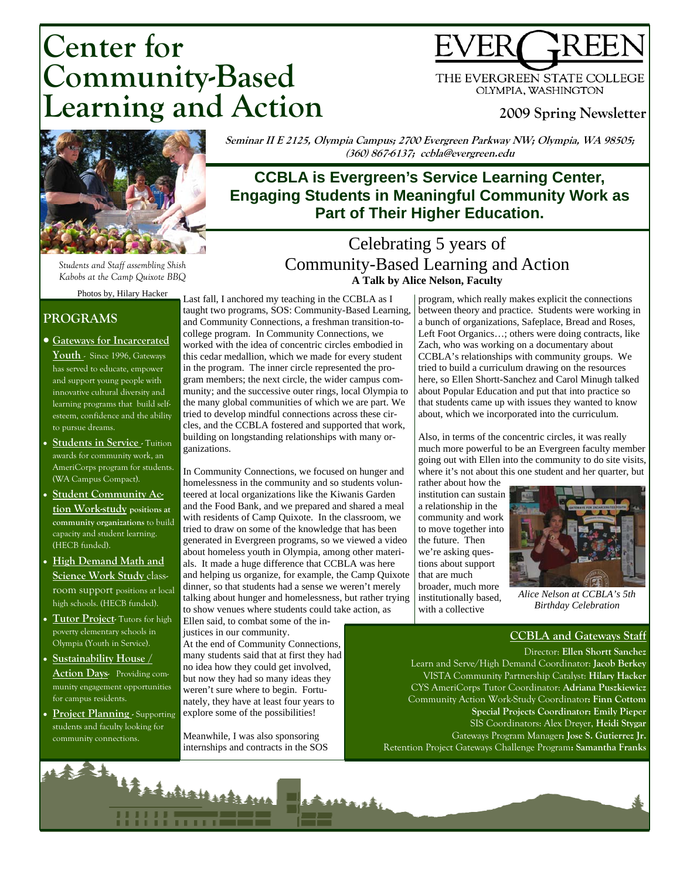# **Center for Community-Based Learning and Action**



THE EVERGREEN STATE COLLEGE OLYMPIA, WASHINGTON

# **2009 Spring Newsletter**



*Students and Staff assembling Shish Kabobs at the Camp Quixote BBQ* 

Photos by, Hilary Hacker

### **PROGRAMS**

- **Gateways for Incarcerated Youth** - Since 1996, Gateways has served to educate, empower and support young people with innovative cultural diversity and learning programs that build selfesteem, confidence and the ability to pursue dreams.
- **Students in Service Tuition** awards for community work, an AmeriCorps program for students. (WA Campus Compact).
- **Student Community Action Work-study positions at community organizations** to build capacity and student learning. (HECB funded).
- **High Demand Math and Science Work Study** classroom support positions at local high schools. (HECB funded).
- **Tutor Project** Tutors for high poverty elementary schools in Olympia (Youth in Service).
- **Sustainability House / Action Days-** Providing community engagement opportunities for campus residents.
- **Project Planning** Supporting students and faculty looking for community connections.

**Seminar II E 2125, Olympia Campus; 2700 Evergreen Parkway NW; Olympia, WA 98505; (360) 867-6137; ccbla@evergreen.edu** 

# **CCBLA is Evergreen's Service Learning Center, Engaging Students in Meaningful Community Work as Part of Their Higher Education.**

# Celebrating 5 years of Community-Based Learning and Action **A Talk by Alice Nelson, Faculty**

Last fall, I anchored my teaching in the CCBLA as I taught two programs, SOS: Community-Based Learning, and Community Connections, a freshman transition-tocollege program. In Community Connections, we worked with the idea of concentric circles embodied in this cedar medallion, which we made for every student in the program. The inner circle represented the program members; the next circle, the wider campus community; and the successive outer rings, local Olympia to the many global communities of which we are part. We tried to develop mindful connections across these circles, and the CCBLA fostered and supported that work, building on longstanding relationships with many organizations.

In Community Connections, we focused on hunger and homelessness in the community and so students volunteered at local organizations like the Kiwanis Garden and the Food Bank, and we prepared and shared a meal with residents of Camp Quixote. In the classroom, we tried to draw on some of the knowledge that has been generated in Evergreen programs, so we viewed a video about homeless youth in Olympia, among other materials. It made a huge difference that CCBLA was here and helping us organize, for example, the Camp Quixote dinner, so that students had a sense we weren't merely talking about hunger and homelessness, but rather trying to show venues where students could take action, as

**Rathand** 

Ellen said, to combat some of the injustices in our community.

At the end of Community Connections, many students said that at first they had no idea how they could get involved, but now they had so many ideas they weren't sure where to begin. Fortunately, they have at least four years to explore some of the possibilities!

Meanwhile, I was also sponsoring internships and contracts in the SOS

14 Sockutratherda Ave

program, which really makes explicit the connections between theory and practice. Students were working in a bunch of organizations, Safeplace, Bread and Roses, Left Foot Organics…; others were doing contracts, like Zach, who was working on a documentary about CCBLA's relationships with community groups. We tried to build a curriculum drawing on the resources here, so Ellen Shortt-Sanchez and Carol Minugh talked about Popular Education and put that into practice so that students came up with issues they wanted to know about, which we incorporated into the curriculum.

Also, in terms of the concentric circles, it was really much more powerful to be an Evergreen faculty member going out with Ellen into the community to do site visits, where it's not about this one student and her quarter, but

rather about how the institution can sustain a relationship in the community and work to move together into the future. Then we're asking questions about support that are much broader, much more institutionally based, with a collective



*Alice Nelson at CCBLA's 5th Birthday Celebration* 

#### **CCBLA and Gateways Staff**

Director: **Ellen Shortt Sanchez**  Learn and Serve/High Demand Coordinator: **Jacob Berkey**  VISTA Community Partnership Catalyst: **Hilary Hacker**  CYS AmeriCorps Tutor Coordinator: **Adriana Puszkiewicz** Community Action Work-Study Coordinator**: Finn Cottom Special Projects Coordinator: Emily Pieper**  SIS Coordinators: Alex Dreyer, **Heidi Stygar**  Gateways Program Manager**: Jose S. Gutierrez Jr.**  Retention Project Gateways Challenge Program**: Samantha Franks**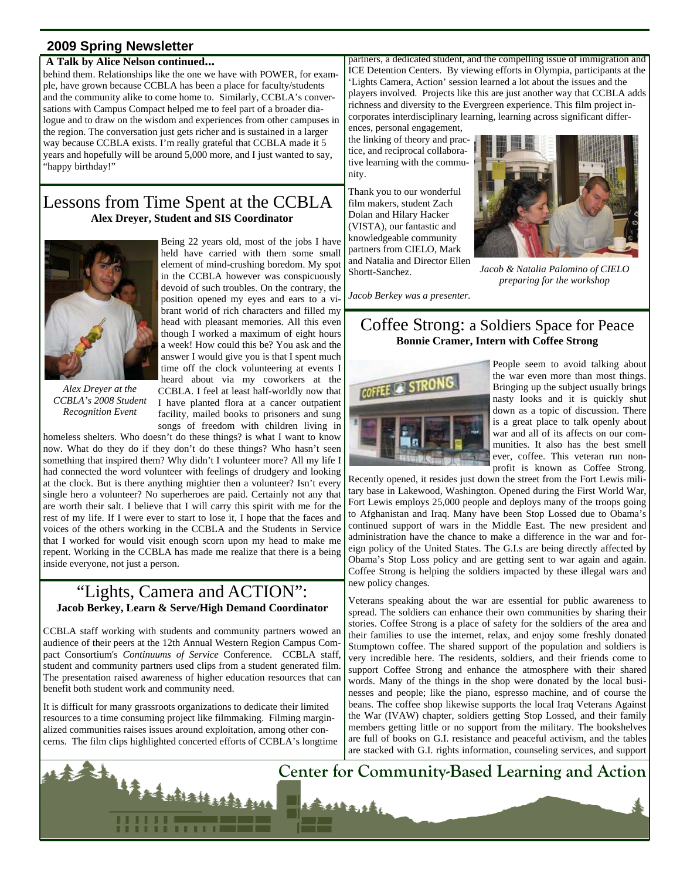#### **2009 Spring Newsletter**

#### **A Talk by Alice Nelson continued...**

behind them. Relationships like the one we have with POWER, for example, have grown because CCBLA has been a place for faculty/students and the community alike to come home to. Similarly, CCBLA's conversations with Campus Compact helped me to feel part of a broader dialogue and to draw on the wisdom and experiences from other campuses in the region. The conversation just gets richer and is sustained in a larger way because CCBLA exists. I'm really grateful that CCBLA made it 5 years and hopefully will be around 5,000 more, and I just wanted to say, "happy birthday!"

#### Lessons from Time Spent at the CCBLA **Alex Dreyer, Student and SIS Coordinator**



*Alex Dreyer at the CCBLA's 2008 Student Recognition Event* 

Being 22 years old, most of the jobs I have held have carried with them some small element of mind-crushing boredom. My spot in the CCBLA however was conspicuously devoid of such troubles. On the contrary, the position opened my eyes and ears to a vibrant world of rich characters and filled my head with pleasant memories. All this even though I worked a maximum of eight hours a week! How could this be? You ask and the answer I would give you is that I spent much time off the clock volunteering at events I heard about via my coworkers at the CCBLA. I feel at least half-worldly now that I have planted flora at a cancer outpatient facility, mailed books to prisoners and sung songs of freedom with children living in

homeless shelters. Who doesn't do these things? is what I want to know now. What do they do if they don't do these things? Who hasn't seen something that inspired them? Why didn't I volunteer more? All my life I had connected the word volunteer with feelings of drudgery and looking at the clock. But is there anything mightier then a volunteer? Isn't every single hero a volunteer? No superheroes are paid. Certainly not any that are worth their salt. I believe that I will carry this spirit with me for the rest of my life. If I were ever to start to lose it, I hope that the faces and voices of the others working in the CCBLA and the Students in Service that I worked for would visit enough scorn upon my head to make me repent. Working in the CCBLA has made me realize that there is a being inside everyone, not just a person.

#### "Lights, Camera and ACTION": **Jacob Berkey, Learn & Serve/High Demand Coordinator**

CCBLA staff working with students and community partners wowed an audience of their peers at the 12th Annual Western Region Campus Compact Consortium's *Continuums of Service* Conference. CCBLA staff, student and community partners used clips from a student generated film. The presentation raised awareness of higher education resources that can benefit both student work and community need.

It is difficult for many grassroots organizations to dedicate their limited resources to a time consuming project like filmmaking. Filming marginalized communities raises issues around exploitation, among other concerns. The film clips highlighted concerted efforts of CCBLA's longtime partners, a dedicated student, and the compelling issue of immigration and ICE Detention Centers. By viewing efforts in Olympia, participants at the 'Lights Camera, Action' session learned a lot about the issues and the players involved. Projects like this are just another way that CCBLA adds richness and diversity to the Evergreen experience. This film project incorporates interdisciplinary learning, learning across significant differ-

ences, personal engagement, the linking of theory and practice, and reciprocal collaborative learning with the community.

Thank you to our wonderful film makers, student Zach Dolan and Hilary Hacker (VISTA), our fantastic and knowledgeable community partners from CIELO, Mark and Natalia and Director Ellen Shortt-Sanchez.



*Jacob & Natalia Palomino of CIELO preparing for the workshop* 

*Jacob Berkey was a presenter.* 

## Coffee Strong: a Soldiers Space for Peace **Bonnie Cramer, Intern with Coffee Strong**



People seem to avoid talking about the war even more than most things. Bringing up the subject usually brings nasty looks and it is quickly shut down as a topic of discussion. There is a great place to talk openly about war and all of its affects on our communities. It also has the best smell ever, coffee. This veteran run nonprofit is known as Coffee Strong.

Recently opened, it resides just down the street from the Fort Lewis military base in Lakewood, Washington. Opened during the First World War, Fort Lewis employs 25,000 people and deploys many of the troops going to Afghanistan and Iraq. Many have been Stop Lossed due to Obama's continued support of wars in the Middle East. The new president and administration have the chance to make a difference in the war and foreign policy of the United States. The G.I.s are being directly affected by Obama's Stop Loss policy and are getting sent to war again and again. Coffee Strong is helping the soldiers impacted by these illegal wars and new policy changes.

Veterans speaking about the war are essential for public awareness to spread. The soldiers can enhance their own communities by sharing their stories. Coffee Strong is a place of safety for the soldiers of the area and their families to use the internet, relax, and enjoy some freshly donated Stumptown coffee. The shared support of the population and soldiers is very incredible here. The residents, soldiers, and their friends come to support Coffee Strong and enhance the atmosphere with their shared words. Many of the things in the shop were donated by the local businesses and people; like the piano, espresso machine, and of course the beans. The coffee shop likewise supports the local Iraq Veterans Against the War (IVAW) chapter, soldiers getting Stop Lossed, and their family members getting little or no support from the military. The bookshelves are full of books on G.I. resistance and peaceful activism, and the tables are stacked with G.I. rights information, counseling services, and support

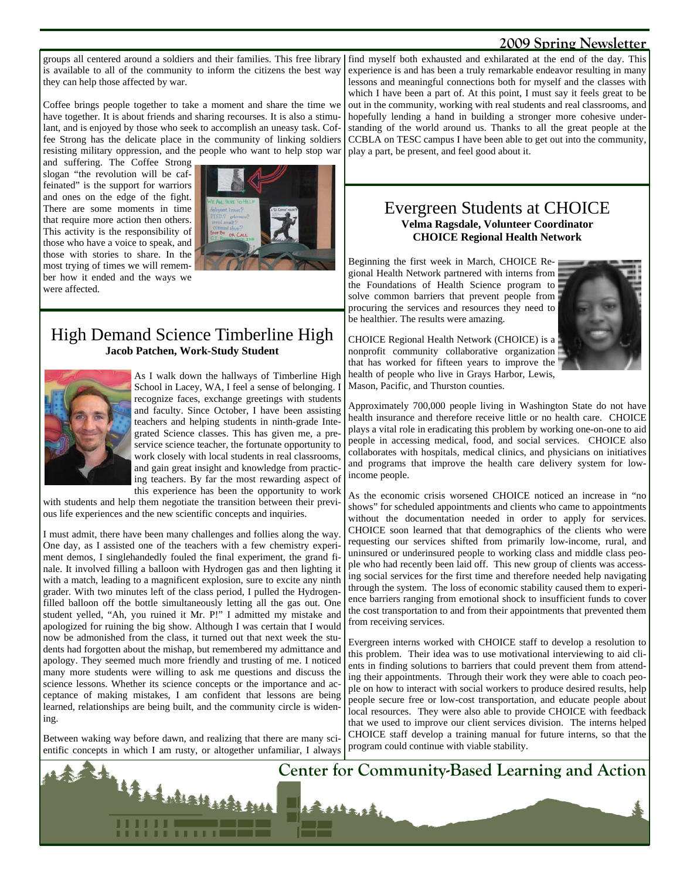#### **2009 Spring Newsletter**

groups all centered around a soldiers and their families. This free library find myself both exhausted and exhilarated at the end of the day. This is available to all of the community to inform the citizens the best way they can help those affected by war.

Coffee brings people together to take a moment and share the time we have together. It is about friends and sharing recourses. It is also a stimulant, and is enjoyed by those who seek to accomplish an uneasy task. Coffee Strong has the delicate place in the community of linking soldiers resisting military oppression, and the people who want to help stop war

and suffering. The Coffee Strong slogan "the revolution will be caffeinated" is the support for warriors and ones on the edge of the fight. There are some moments in time that require more action then others. This activity is the responsibility of those who have a voice to speak, and those with stories to share. In the most trying of times we will remember how it ended and the ways we were affected.



## High Demand Science Timberline High **Jacob Patchen, Work-Study Student**



As I walk down the hallways of Timberline High School in Lacey, WA, I feel a sense of belonging. I recognize faces, exchange greetings with students and faculty. Since October, I have been assisting teachers and helping students in ninth-grade Integrated Science classes. This has given me, a preservice science teacher, the fortunate opportunity to work closely with local students in real classrooms, and gain great insight and knowledge from practicing teachers. By far the most rewarding aspect of this experience has been the opportunity to work

with students and help them negotiate the transition between their previous life experiences and the new scientific concepts and inquiries.

I must admit, there have been many challenges and follies along the way. One day, as I assisted one of the teachers with a few chemistry experiment demos, I singlehandedly fouled the final experiment, the grand finale. It involved filling a balloon with Hydrogen gas and then lighting it with a match, leading to a magnificent explosion, sure to excite any ninth grader. With two minutes left of the class period, I pulled the Hydrogenfilled balloon off the bottle simultaneously letting all the gas out. One student yelled, "Ah, you ruined it Mr. P!" I admitted my mistake and apologized for ruining the big show. Although I was certain that I would now be admonished from the class, it turned out that next week the students had forgotten about the mishap, but remembered my admittance and apology. They seemed much more friendly and trusting of me. I noticed many more students were willing to ask me questions and discuss the science lessons. Whether its science concepts or the importance and acceptance of making mistakes, I am confident that lessons are being learned, relationships are being built, and the community circle is widening.

Between waking way before dawn, and realizing that there are many scientific concepts in which I am rusty, or altogether unfamiliar, I always

experience is and has been a truly remarkable endeavor resulting in many lessons and meaningful connections both for myself and the classes with which I have been a part of. At this point, I must say it feels great to be out in the community, working with real students and real classrooms, and hopefully lending a hand in building a stronger more cohesive understanding of the world around us. Thanks to all the great people at the CCBLA on TESC campus I have been able to get out into the community, play a part, be present, and feel good about it.

#### Evergreen Students at CHOICE **Velma Ragsdale, Volunteer Coordinator CHOICE Regional Health Network**

Beginning the first week in March, CHOICE Regional Health Network partnered with interns from the Foundations of Health Science program to solve common barriers that prevent people from procuring the services and resources they need to be healthier. The results were amazing.



CHOICE Regional Health Network (CHOICE) is a nonprofit community collaborative organization that has worked for fifteen years to improve the health of people who live in Grays Harbor, Lewis, Mason, Pacific, and Thurston counties.

Approximately 700,000 people living in Washington State do not have health insurance and therefore receive little or no health care. CHOICE plays a vital role in eradicating this problem by working one-on-one to aid people in accessing medical, food, and social services. CHOICE also collaborates with hospitals, medical clinics, and physicians on initiatives and programs that improve the health care delivery system for lowincome people.

As the economic crisis worsened CHOICE noticed an increase in "no shows" for scheduled appointments and clients who came to appointments without the documentation needed in order to apply for services. CHOICE soon learned that that demographics of the clients who were requesting our services shifted from primarily low-income, rural, and uninsured or underinsured people to working class and middle class people who had recently been laid off. This new group of clients was accessing social services for the first time and therefore needed help navigating through the system. The loss of economic stability caused them to experience barriers ranging from emotional shock to insufficient funds to cover the cost transportation to and from their appointments that prevented them from receiving services.

Evergreen interns worked with CHOICE staff to develop a resolution to this problem. Their idea was to use motivational interviewing to aid clients in finding solutions to barriers that could prevent them from attending their appointments. Through their work they were able to coach people on how to interact with social workers to produce desired results, help people secure free or low-cost transportation, and educate people about local resources. They were also able to provide CHOICE with feedback that we used to improve our client services division. The interns helped CHOICE staff develop a training manual for future interns, so that the program could continue with viable stability.